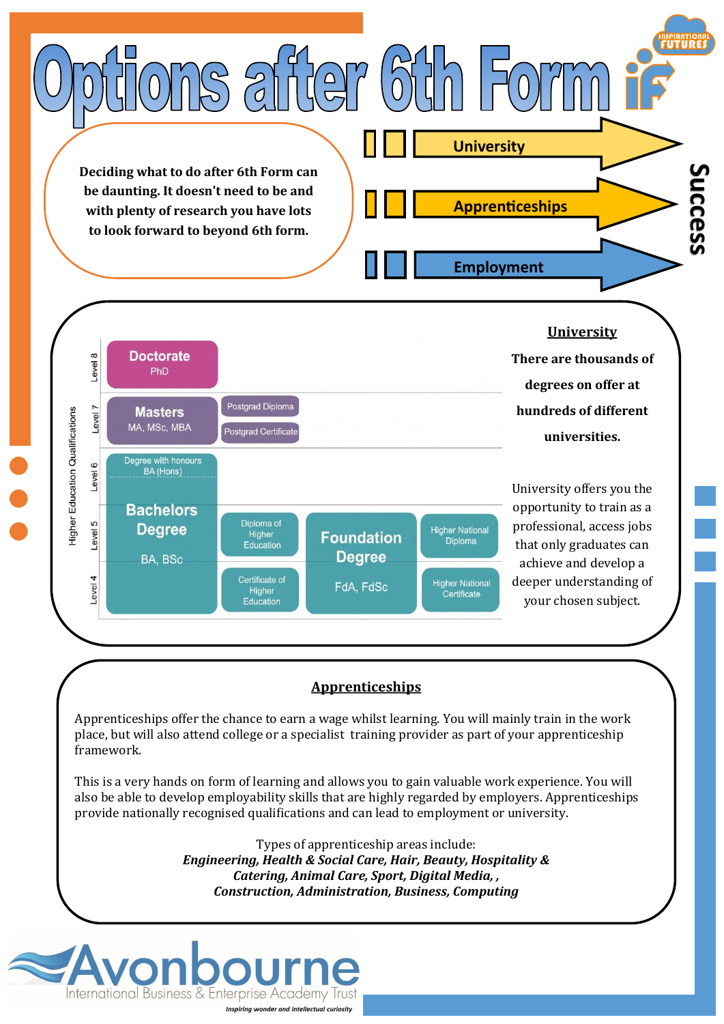

Inspiring wonder and intellectual curiosity